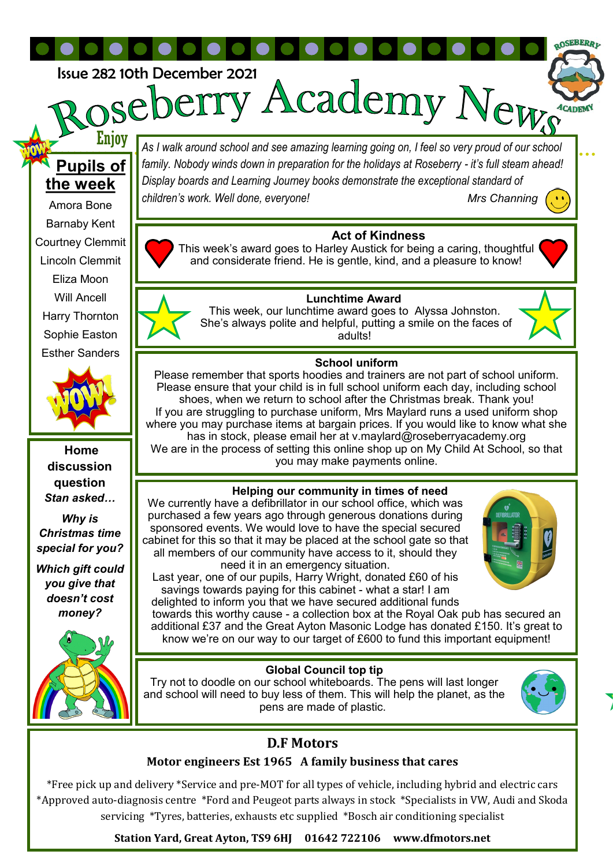Issue 282 10th December 2021<br> **DASP.DEITY ACademy News** 

# **Pupils of the week**

Enjoy

Amora Bone Barnaby Kent Courtney Clemmit Lincoln Clemmit Eliza Moon Will Ancell Harry Thornton Sophie Easton Esther Sanders



**Home discussion question**  *Stan asked…*

*Why is Christmas time special for you?*

*Which gift could you give that doesn't cost money?*



*As I walk around school and see amazing learning going on, I feel so very proud of our school family. Nobody winds down in preparation for the holidays at Roseberry - it's full steam ahead! Display boards and Learning Journey books demonstrate the exceptional standard of children's work. Well done, everyone! Mrs Channing* 

 **Act of Kindness** 

This week's award goes to Harley Austick for being a caring, thoughtful and considerate friend. He is gentle, kind, and a pleasure to know!



**OSEBERR** 

### **Lunchtime Award**

This week, our lunchtime award goes to Alyssa Johnston. She's always polite and helpful, putting a smile on the faces of adults!



#### **School uniform**

Please remember that sports hoodies and trainers are not part of school uniform. Please ensure that your child is in full school uniform each day, including school shoes, when we return to school after the Christmas break. Thank you! If you are struggling to purchase uniform, Mrs Maylard runs a used uniform shop where you may purchase items at bargain prices. If you would like to know what she has in stock, please email her at v.maylard@roseberryacademy.org

We are in the process of setting this online shop up on My Child At School, so that you may make payments online.

#### **Helping our community in times of need**

We currently have a defibrillator in our school office, which was purchased a few years ago through generous donations during sponsored events. We would love to have the special secured cabinet for this so that it may be placed at the school gate so that all members of our community have access to it, should they need it in an emergency situation.

Last year, one of our pupils, Harry Wright, donated £60 of his savings towards paying for this cabinet - what a star! I am delighted to inform you that we have secured additional funds



towards this worthy cause - a collection box at the Royal Oak pub has secured an additional £37 and the Great Ayton Masonic Lodge has donated £150. It's great to know we're on our way to our target of £600 to fund this important equipment!

#### **Global Council top tip**

Try not to doodle on our school whiteboards. The pens will last longer and school will need to buy less of them. This will help the planet, as the pens are made of plastic.



## **D.F Motors**

#### **Motor engineers Est 1965 A family business that cares**

\*Free pick up and delivery \*Service and pre-MOT for all types of vehicle, including hybrid and electric cars \*Approved auto-diagnosis centre \*Ford and Peugeot parts always in stock \*Specialists in VW, Audi and Skoda servicing \*Tyres, batteries, exhausts etc supplied \*Bosch air conditioning specialist

**Station Yard, Great Ayton, TS9 6HJ 01642 722106 www.dfmotors.net**